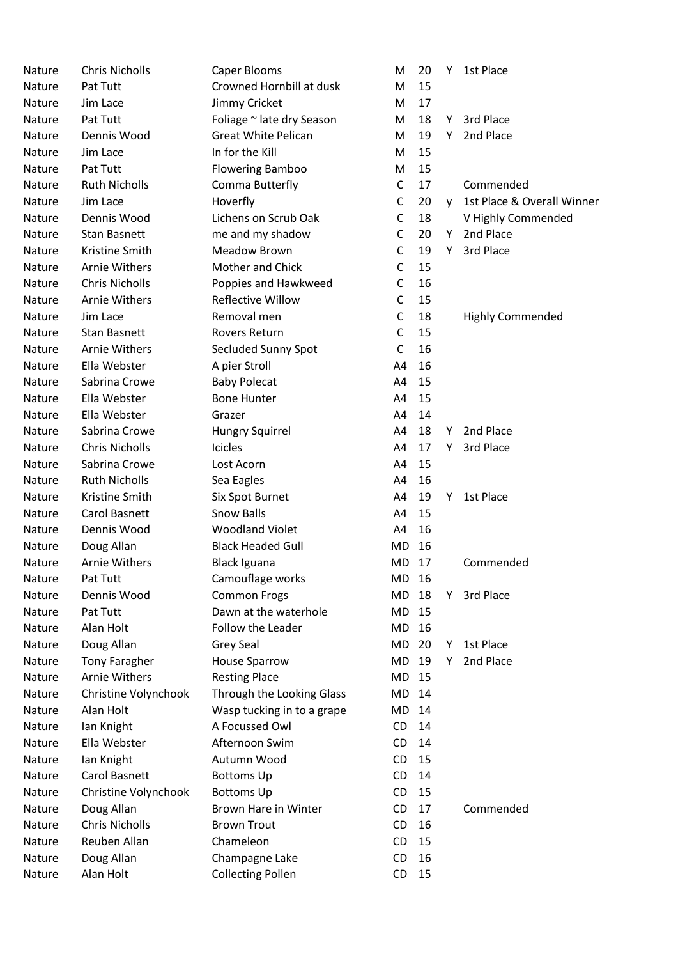| <b>Nature</b> | <b>Chris Nicholls</b> | Caper Blooms               | M            | 20 | Y | 1st Place                  |
|---------------|-----------------------|----------------------------|--------------|----|---|----------------------------|
| Nature        | Pat Tutt              | Crowned Hornbill at dusk   | M            | 15 |   |                            |
| Nature        | Jim Lace              | Jimmy Cricket              | M            | 17 |   |                            |
| Nature        | Pat Tutt              | Foliage ~ late dry Season  | M            | 18 | Y | 3rd Place                  |
| Nature        | Dennis Wood           | <b>Great White Pelican</b> | M            | 19 | Y | 2nd Place                  |
| Nature        | Jim Lace              | In for the Kill            | M            | 15 |   |                            |
| Nature        | Pat Tutt              | <b>Flowering Bamboo</b>    | M            | 15 |   |                            |
| Nature        | <b>Ruth Nicholls</b>  | Comma Butterfly            | C            | 17 |   | Commended                  |
| Nature        | Jim Lace              | Hoverfly                   | C            | 20 | V | 1st Place & Overall Winner |
| Nature        | Dennis Wood           | Lichens on Scrub Oak       | $\mathsf C$  | 18 |   | V Highly Commended         |
| Nature        | <b>Stan Basnett</b>   | me and my shadow           | C            | 20 | Υ | 2nd Place                  |
| Nature        | Kristine Smith        | <b>Meadow Brown</b>        | C            | 19 | Y | 3rd Place                  |
| Nature        | <b>Arnie Withers</b>  | Mother and Chick           | C            | 15 |   |                            |
| Nature        | <b>Chris Nicholls</b> | Poppies and Hawkweed       | C            | 16 |   |                            |
| Nature        | <b>Arnie Withers</b>  | <b>Reflective Willow</b>   | $\mathsf{C}$ | 15 |   |                            |
| Nature        | Jim Lace              | Removal men                | C            | 18 |   | <b>Highly Commended</b>    |
| Nature        | <b>Stan Basnett</b>   | Rovers Return              | C            | 15 |   |                            |
| Nature        | <b>Arnie Withers</b>  | Secluded Sunny Spot        | $\mathsf{C}$ | 16 |   |                            |
| Nature        | Ella Webster          | A pier Stroll              | A4           | 16 |   |                            |
| Nature        | Sabrina Crowe         | <b>Baby Polecat</b>        | A4           | 15 |   |                            |
| Nature        | Ella Webster          | <b>Bone Hunter</b>         | A4           | 15 |   |                            |
| Nature        | Ella Webster          | Grazer                     | A4           | 14 |   |                            |
| Nature        | Sabrina Crowe         | Hungry Squirrel            | A4           | 18 | Y | 2nd Place                  |
| Nature        | <b>Chris Nicholls</b> | <b>Icicles</b>             | A4           | 17 | Y | 3rd Place                  |
| Nature        | Sabrina Crowe         | Lost Acorn                 | A4           | 15 |   |                            |
| Nature        | <b>Ruth Nicholls</b>  | Sea Eagles                 | A4           | 16 |   |                            |
| Nature        | Kristine Smith        | Six Spot Burnet            | A4           | 19 | Y | 1st Place                  |
| Nature        | Carol Basnett         | <b>Snow Balls</b>          | A4           | 15 |   |                            |
| Nature        | Dennis Wood           | <b>Woodland Violet</b>     | A4           | 16 |   |                            |
| <b>Nature</b> | Doug Allan            | <b>Black Headed Gull</b>   | MD           | 16 |   |                            |
| Nature        | <b>Arnie Withers</b>  | <b>Black Iguana</b>        | MD           | 17 |   | Commended                  |
| Nature        | Pat Tutt              | Camouflage works           | MD           | 16 |   |                            |
| Nature        | Dennis Wood           | <b>Common Frogs</b>        | MD           | 18 | Υ | 3rd Place                  |
| Nature        | Pat Tutt              | Dawn at the waterhole      | MD           | 15 |   |                            |
| Nature        | Alan Holt             | Follow the Leader          | MD           | 16 |   |                            |
| Nature        | Doug Allan            | Grey Seal                  | MD           | 20 | Υ | 1st Place                  |
| Nature        | <b>Tony Faragher</b>  | <b>House Sparrow</b>       | MD           | 19 | Υ | 2nd Place                  |
| Nature        | <b>Arnie Withers</b>  | <b>Resting Place</b>       | MD           | 15 |   |                            |
| Nature        | Christine Volynchook  | Through the Looking Glass  | MD           | 14 |   |                            |
| Nature        | Alan Holt             | Wasp tucking in to a grape | MD           | 14 |   |                            |
| Nature        | lan Knight            | A Focussed Owl             | CD           | 14 |   |                            |
| Nature        | Ella Webster          | Afternoon Swim             | CD           | 14 |   |                            |
| Nature        | lan Knight            | Autumn Wood                | CD           | 15 |   |                            |
| Nature        | Carol Basnett         | <b>Bottoms Up</b>          | CD           | 14 |   |                            |
| Nature        | Christine Volynchook  | <b>Bottoms Up</b>          | CD           | 15 |   |                            |
| Nature        | Doug Allan            | Brown Hare in Winter       | CD           | 17 |   | Commended                  |
| Nature        | <b>Chris Nicholls</b> | <b>Brown Trout</b>         | CD           | 16 |   |                            |
| Nature        | Reuben Allan          | Chameleon                  | CD           | 15 |   |                            |
| Nature        | Doug Allan            | Champagne Lake             | CD           | 16 |   |                            |
| Nature        | Alan Holt             | <b>Collecting Pollen</b>   | CD           | 15 |   |                            |
|               |                       |                            |              |    |   |                            |